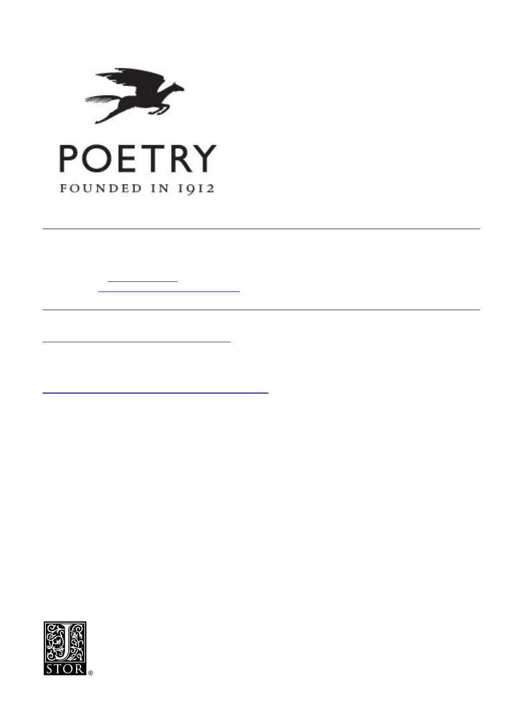



FYj]Yk . ⊋UDcYa =g`]\_YUD]WhifYžK \UnfojU<]ghcfmcZDcYhfm`]\_Y3  $5i$  h cf for  $k$  - Uf c  $X$  : f ca a Gci f W. DcYhf mž J c'" %) % B c"' fBYWž %, + tž dd" & \*! ' % Di V`]q\YX`Vm`Poetry Foundation GhU/ Y I F @ http://www.jstor.org/stable/20601458  $5$  WWQQYX. &  $# $- #$ &\$%\$ \$\$.%+

Your use of the JSTOR archive indicates your acceptance of JSTOR's Terms and Conditions of Use, available at http://www.jstor.org/page/info/about/policies/terms.jsp. JSTOR's Terms and Conditions of Use provides, in part, that unless you have obtained prior permission, you may not download an entire issue of a journal or multiple copies of articles, and you may use content in the JSTOR archive only for your personal, non-commercial use.

Please contact the publisher regarding any further use of this work. Publisher contact information may be obtained at http://www.jstor.org/action/showPublisher?publisherCode=poetry.

Each copy of any part of a JSTOR transmission must contain the same copyright notice that appears on the screen or printed page of such transmission.

JSTOR is a not-for-profit service that helps scholars, researchers, and students discover, use, and build upon a wide range content in a trusted digital archive. We use information technology and tools to increase productivity and facilitate new forms of scholarship. For more information about JSTOR, please contact support@jstor.org.



Poetry Foundation is collaborating with JSTOR to digitize, preserve and extend access to Poetry.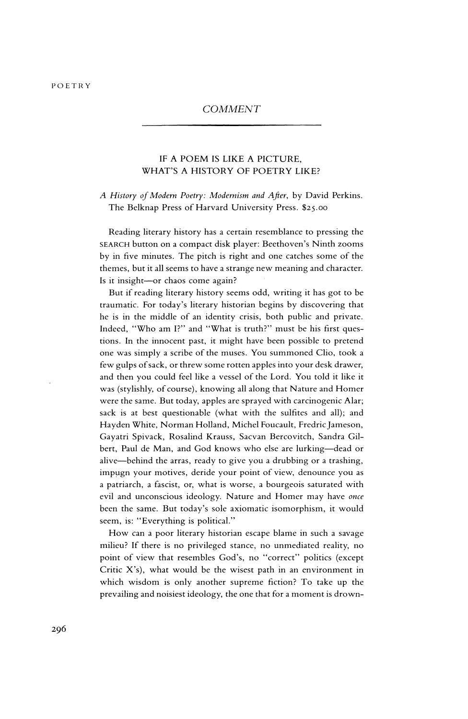### COMMENT

# IF A POEM IS LIKE A PICTURE, WHAT'S A HISTORY OF POETRY LIKE?

## A History of Modern Poetry: Modernism and After, by David Perkins. The Belknap Press of Harvard University Press. \$25.00

Reading literary history has a certain resemblance to pressing the SEARCH button on a compact disk player: Beethoven's Ninth zooms by in five minutes. The pitch is right and one catches some of the themes, but it all seems to have a strange new meaning and character. Is it insight-or chaos come again?

But if reading literary history seems odd, writing it has got to be traumatic. For today's literary historian begins by discovering that he is in the middle of an identity crisis, both public and private. Indeed, "Who am I?" and "What is truth?" must be his first ques tions. In the innocent past, it might have been possible to pretend one was simply a scribe of the muses. You summoned Clio, took a few gulps of sack, or threw some rotten apples into your desk drawer, and then you could feel like a vessel of the Lord. You told it like it was (stylishly, of course), knowing all along that Nature and Homer were the same. But today, apples are sprayed with carcinogenic Alar; sack is at best questionable (what with the sulfites and all); and Hayden White, Norman Holland, Michel Foucault, Fredric Jameson, Gayatri Spivack, Rosalind Krauss, Sacvan Bercovitch, Sandra Gil bert, Paul de Man, and God knows who else are lurking-dead or alive-behind the arras, ready to give you a drubbing or a trashing, impugn your motives, deride your point of view, denounce you as a patriarch, a fascist, or, what is worse, a bourgeois saturated with evil and unconscious ideology. Nature and Homer may have once been the same. But today's sole axiomatic isomorphism, it would seem, is: "Everything is political."

How can a poor literary historian escape blame in such a savage milieu? If there is no privileged stance, no unmediated reality, no point of view that resembles God's, no "correct" politics (except Critic X's), what would be the wisest path in an environment in which wisdom is only another supreme fiction? To take up the prevailing and noisiest ideology, the one that for a moment is drown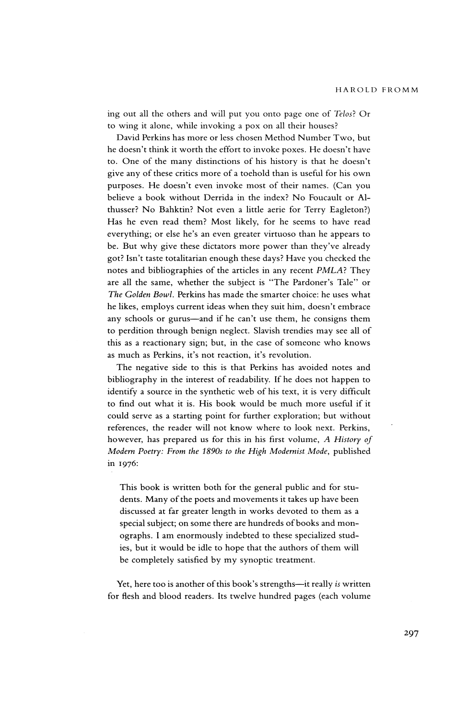ing out all the others and will put you onto page one of Telos? Or to wing it alone, while invoking a pox on all their houses?

David Perkins has more or less chosen Method Number Two, but he doesn't think it worth the effort to invoke poxes. He doesn't have to. One of the many distinctions of his history is that he doesn't give any of these critics more of a toehold than is useful for his own purposes. He doesn't even invoke most of their names. (Can you believe a book without Derrida in the index? No Foucault or Al thusser? No Bahktin? Not even a little aerie for Terry Eagleton?) Has he even read them? Most likely, for he seems to have read everything; or else he's an even greater virtuoso than he appears to be. But why give these dictators more power than they've already got? Isn't taste totalitarian enough these days? Have you checked the notes and bibliographies of the articles in any recent PMLA? They are all the same, whether the subject is "The Pardoner's Tale" or The Golden Bowl. Perkins has made the smarter choice: he uses what he likes, employs current ideas when they suit him, doesn't embrace any schools or gurus-and if he can't use them, he consigns them to perdition through benign neglect. Slavish trendies may see all of this as a reactionary sign; but, in the case of someone who knows as much as Perkins, it's not reaction, it's revolution.

The negative side to this is that Perkins has avoided notes and bibliography in the interest of readability. If he does not happen to identify a source in the synthetic web of his text, it is very difficult to find out what it is. His book would be much more useful if it could serve as a starting point for further exploration; but without references, the reader will not know where to look next. Perkins, however, has prepared us for this in his first volume, A History of Modern Poetry: From the 1890s to the High Modernist Mode, published in I976:

This book is written both for the general public and for stu dents. Many of the poets and movements it takes up have been discussed at far greater length in works devoted to them as a special subject; on some there are hundreds of books and mon ographs. I am enormously indebted to these specialized stud ies, but it would be idle to hope that the authors of them will be completely satisfied by my synoptic treatment.

Yet, here too is another of this book's strengths-it really is written for flesh and blood readers. Its twelve hundred pages (each volume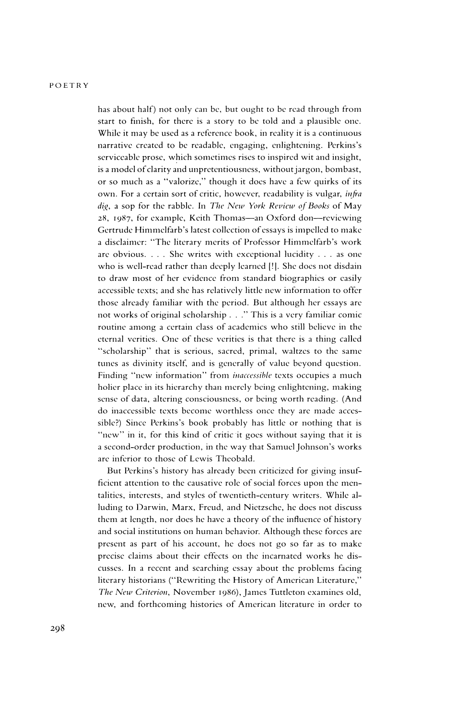has about half) not only can be, but ought to be read through from start to finish, for there is a story to be told and a plausible one. While it may be used as a reference book, in reality it is a continuous narrative created to be readable, engaging, enlightening. Perkins's serviceable prose, which sometimes rises to inspired wit and insight, is a model of clarity and unpretentiousness, without jargon, bombast, or so much as a "valorize," though it does have a few quirks of its own. For a certain sort of critic, however, readability is vulgar, *infra* dig, a sop for the rabble. In The New York Review of Books of May 28, 1987, for example, Keith Thomas-an Oxford don--reviewing Gertrude Himmelfarb's latest collection of essays is impelled to make a disclaimer: "The literary merits of Professor Himmelfarb's work are obvious.  $\ldots$  She writes with exceptional lucidity  $\ldots$  as one who is well-read rather than deeply learned [!]. She does not disdain to draw most of her evidence from standard biographies or easily accessible texts; and she has relatively little new information to offer those already familiar with the period. But although her essays are not works of original scholarship . . ." This is a very familiar comic routine among a certain class of academics who still believe in the eternal verities. One of these verities is that there is a thing called "scholarship" that is serious, sacred, primal, waltzes to the same tunes as divinity itself, and is generally of value beyond question. Finding "new information" from *inaccessible* texts occupies a much holier place in its hierarchy than merely being enlightening, making sense of data, altering consciousness, or being worth reading. (And do inaccessible texts become worthless once they are made accessible?) Since Perkins's book probably has little or nothing that is "new" in it, for this kind of critic it goes without saying that it is a second-order production, in the way that Samuel Johnson's works are inferior to those of Lewis Theobald.

But Perkins's history has already been criticized for giving insufficient attention to the causative role of social forces upon the men talities, interests, and styles of twentieth-century writers. While alluding to Darwin, Marx, Freud, and Nietzsche, he does not discuss them at length, nor does he have a theory of the influence of history and social institutions on human behavior. Although these forces are present as part of his account, he does not go so far as to make precise claims about their effects on the incarnated works he dis cusses. In a recent and searching essay about the problems facing literary historians ("Rewriting the History of American Literature," The New Criterion, November 1986), James Tuttleton examines old, new, and forthcoming histories of American literature in order to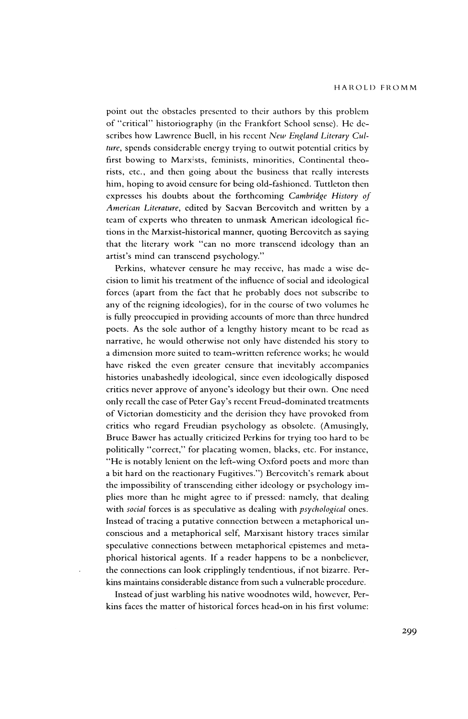point out the obstacles presented to their authors by this problem of "critical" historiography (in the Frankfort School sense). He de scribes how Lawrence Buell, in his recent New England Literary Culture, spends considerable energy trying to outwit potential critics by first bowing to Marxists, feminists, minorities, Continental theorists, etc., and then going about the business that really interests him, hoping to avoid censure for being old-fashioned. Tuttleton then expresses his doubts about the forthcoming Cambridge History of American Literature, edited by Sacvan Bercovitch and written by a team of experts who threaten to unmask American ideological fic tions in the Marxist-historical manner, quoting Bercovitch as saying that the literary work "can no more transcend ideology than an artist's mind can transcend psychology."

Perkins, whatever censure he may receive, has made a wise de cision to limit his treatment of the influence of social and ideological forces (apart from the fact that he probably does not subscribe to any of the reigning ideologies), for in the course of two volumes he is fully preoccupied in providing accounts of more than three hundred poets. As the sole author of a lengthy history meant to be read as narrative, he would otherwise not only have distended his story to a dimension more suited to team-written reference works; he would have risked the even greater censure that inevitably accompanies histories unabashedly ideological, since even ideologically disposed critics never approve of anyone's ideology but their own. One need only recall the case of Peter Gay's recent Freud-dominated treatments of Victorian domesticity and the derision they have provoked from critics who regard Freudian psychology as obsolete. (Amusingly, Bruce Bawer has actually criticized Perkins for trying too hard to be politically "correct," for placating women, blacks, etc. For instance, "He is notably lenient on the left-wing Oxford poets and more than a bit hard on the reactionary Fugitives.") Bercovitch's remark about the impossibility of transcending either ideology or psychology im plies more than he might agree to if pressed: namely, that dealing with social forces is as speculative as dealing with psychological ones. Instead of tracing a putative connection between a metaphorical un conscious and a metaphorical self, Marxisant history traces similar speculative connections between metaphorical epistemes and meta phorical historical agents. If a reader happens to be a nonbeliever, the connections can look cripplingly tendentious, if not bizarre. Per kins maintains considerable distance from such a vulnerable procedure.

Instead of just warbling his native woodnotes wild, however, Perkins faces the matter of historical forces head-on in his first volume: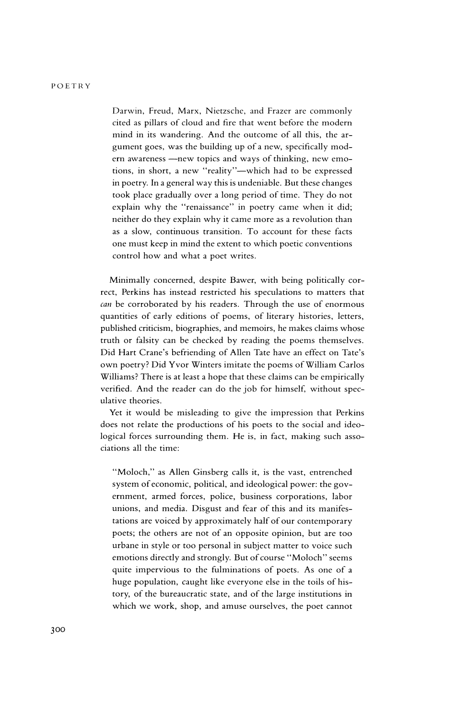Darwin, Freud, Marx, Nietzsche, and Frazer are commonly cited as pillars of cloud and fire that went before the modern mind in its wandering. And the outcome of all this, the ar gument goes, was the building up of a new, specifically mod ern awareness - new topics and ways of thinking, new emotions, in short, a new "reality"-which had to be expressed in poetry. In a general way this is undeniable. But these changes took place gradually over a long period of time. They do not explain why the "renaissance" in poetry came when it did; neither do they explain why it came more as a revolution than as a slow, continuous transition. To account for these facts one must keep in mind the extent to which poetic conventions control how and what a poet writes.

Minimally concerned, despite Bawer, with being politically cor rect, Perkins has instead restricted his speculations to matters that can be corroborated by his readers. Through the use of enormous quantities of early editions of poems, of literary histories, letters, published criticism, biographies, and memoirs, he makes claims whose truth or falsity can be checked by reading the poems themselves. Did Hart Crane's befriending of Allen Tate have an effect on Tate's own poetry? Did Yvor Winters imitate the poems of William Carlos Williams? There is at least a hope that these claims can be empirically verified. And the reader can do the job for himself, without spec ulative theories.

Yet it would be misleading to give the impression that Perkins does not relate the productions of his poets to the social and ideo logical forces surrounding them. He is, in fact, making such asso ciations all the time:

"Moloch," as Allen Ginsberg calls it, is the vast, entrenched system of economic, political, and ideological power: the gov ernment, armed forces, police, business corporations, labor unions, and media. Disgust and fear of this and its manifes tations are voiced by approximately half of our contemporary poets; the others are not of an opposite opinion, but are too urbane in style or too personal in subject matter to voice such emotions directly and strongly. But of course "Moloch" seems quite impervious to the fulminations of poets. As one of a huge population, caught like everyone else in the toils of his tory, of the bureaucratic state, and of the large institutions in which we work, shop, and amuse ourselves, the poet cannot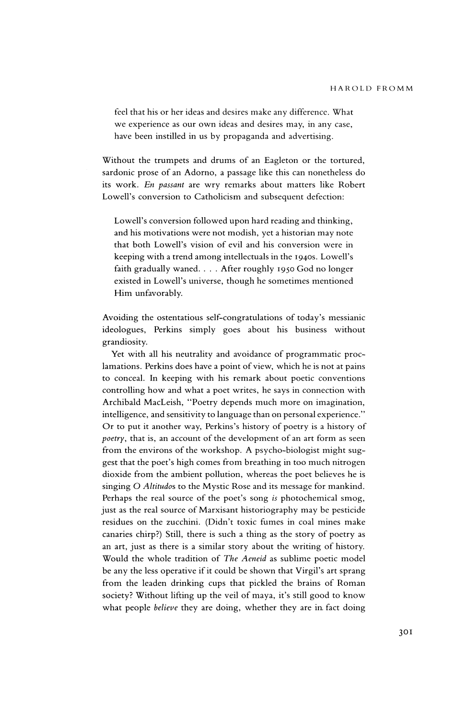feel that his or her ideas and desires make any difference. What we experience as our own ideas and desires may, in any case, have been instilled in us by propaganda and advertising.

Without the trumpets and drums of an Eagleton or the tortured, sardonic prose of an Adorno, a passage like this can nonetheless do its work. En passant are wry remarks about matters like Robert Lowell's conversion to Catholicism and subsequent defection:

Lowell's conversion followed upon hard reading and thinking, and his motivations were not modish, yet a historian may note that both Lowell's vision of evil and his conversion were in keeping with a trend among intellectuals in the 1940s. Lowell's faith gradually waned. . . . After roughly 1950 God no longer existed in Lowell's universe, though he sometimes mentioned Him unfavorably.

Avoiding the ostentatious self-congratulations of today's messianic ideologues, Perkins simply goes about his business without grandiosity.

Yet with all his neutrality and avoidance of programmatic proc lamations. Perkins does have a point of view, which he is not at pains to conceal. In keeping with his remark about poetic conventions controlling how and what a poet writes, he says in connection with Archibald MacLeish, "Poetry depends much more on imagination, intelligence, and sensitivity to language than on personal experience." Or to put it another way, Perkins's history of poetry is a history of poetry, that is, an account of the development of an art form as seen from the environs of the workshop. A psycho-biologist might sug gest that the poet's high comes from breathing in too much nitrogen dioxide from the ambient pollution, whereas the poet believes he is singing 0 Altitudos to the Mystic Rose and its message for mankind. Perhaps the real source of the poet's song is photochemical smog, just as the real source of Marxisant historiography may be pesticide residues on the zucchini. (Didn't toxic fumes in coal mines make canaries chirp?) Still, there is such a thing as the story of poetry as an art, just as there is a similar story about the writing of history. Would the whole tradition of The Aeneid as sublime poetic model be any the less operative if it could be shown that Virgil's art sprang from the leaden drinking cups that pickled the brains of Roman society? Without lifting up the veil of maya, it's still good to know what people believe they are doing, whether they are in fact doing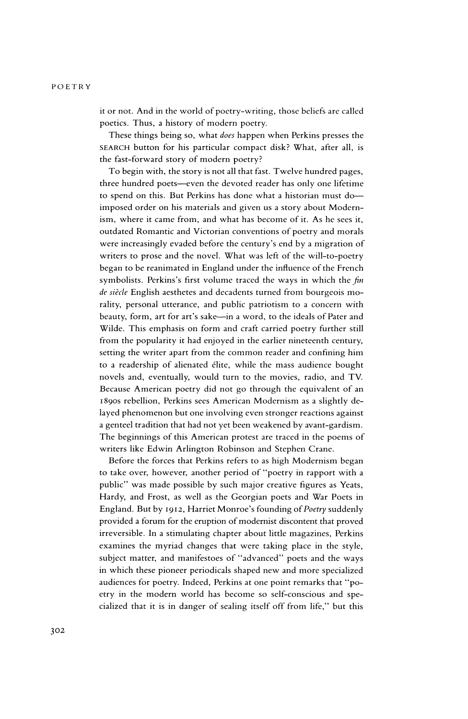it or not. And in the world of poetry-writing, those beliefs are called poetics. Thus, a history of modern poetry.

These things being so, what does happen when Perkins presses the SEARCH button for his particular compact disk? What, after all, is the fast-forward story of modern poetry?

To begin with, the story is not all that fast. Twelve hundred pages, three hundred poets-even the devoted reader has only one lifetime to spend on this. But Perkins has done what a historian must do imposed order on his materials and given us a story about Modern ism, where it came from, and what has become of it. As he sees it, outdated Romantic and Victorian conventions of poetry and morals were increasingly evaded before the century's end by a migration of writers to prose and the novel. What was left of the will-to-poetry began to be reanimated in England under the influence of the French symbolists. Perkins's first volume traced the ways in which the  $fn$ de siècle English aesthetes and decadents turned from bourgeois morality, personal utterance, and public patriotism to a concern with beauty, form, art for art's sake-in a word, to the ideals of Pater and Wilde. This emphasis on form and craft carried poetry further still from the popularity it had enjoyed in the earlier nineteenth century, setting the writer apart from the common reader and confining him to a readership of alienated 6lite, while the mass audience bought novels and, eventually, would turn to the movies, radio, and TV. Because American poetry did not go through the equivalent of an I89os rebellion, Perkins sees American Modernism as a slightly de layed phenomenon but one involving even stronger reactions against a genteel tradition that had not yet been weakened by avant-gardism. The beginnings of this American protest are traced in the poems of writers like Edwin Arlington Robinson and Stephen Crane.

Before the forces that Perkins refers to as high Modernism began to take over, however, another period of "poetry in rapport with a public" was made possible by such major creative figures as Yeats, Hardy, and Frost, as well as the Georgian poets and War Poets in England. But by 1912, Harriet Monroe's founding of Poetry suddenly provided a forum for the eruption of modernist discontent that proved irreversible. In a stimulating chapter about little magazines, Perkins examines the myriad changes that were taking place in the style, subject matter, and manifestoes of "advanced" poets and the ways in which these pioneer periodicals shaped new and more specialized audiences for poetry. Indeed, Perkins at one point remarks that "po etry in the modern world has become so self-conscious and spe cialized that it is in danger of sealing itself off from life," but this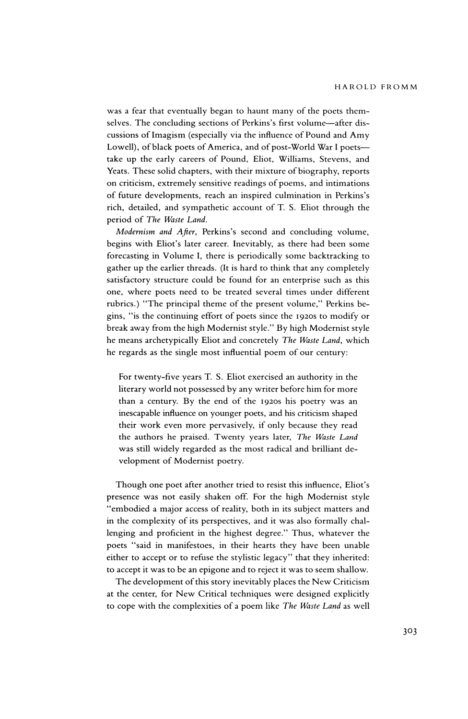was a fear that eventually began to haunt many of the poets them selves. The concluding sections of Perkins's first volume-after discussions of Imagism (especially via the influence of Pound and Amy Lowell), of black poets of America, and of post-World War I poets take up the early careers of Pound, Eliot, Williams, Stevens, and Yeats. These solid chapters, with their mixture of biography, reports on criticism, extremely sensitive readings of poems, and intimations of future developments, reach an inspired culmination in Perkins's rich, detailed, and sympathetic account of T. S. Eliot through the period of The Waste Land.

Modernism and After, Perkins's second and concluding volume, begins with Eliot's later career. Inevitably, as there had been some forecasting in Volume I, there is periodically some backtracking to gather up the earlier threads. (It is hard to think that any completely satisfactory structure could be found for an enterprise such as this one, where poets need to be treated several times under different rubrics.) "The principal theme of the present volume," Perkins be gins, "is the continuing effort of poets since the 1920s to modify or break away from the high Modernist style." By high Modernist style he means archetypically Eliot and concretely The Waste Land, which he regards as the single most influential poem of our century:

For twenty-five years T. S. Eliot exercised an authority in the literary world not possessed by any writer before him for more than a century. By the end of the 1920s his poetry was an inescapable influence on younger poets, and his criticism shaped their work even more pervasively, if only because they read the authors he praised. Twenty years later, The Waste Land was still widely regarded as the most radical and brilliant de velopment of Modernist poetry.

Though one poet after another tried to resist this influence, Eliot's presence was not easily shaken off. For the high Modernist style "embodied a major access of reality, both in its subject matters and in the complexity of its perspectives, and it was also formally chal lenging and proficient in the highest degree." Thus, whatever the poets "said in manifestoes, in their hearts they have been unable either to accept or to refuse the stylistic legacy" that they inherited: to accept it was to be an epigone and to reject it was to seem shallow.

The development of this story inevitably places the New Criticism at the center, for New Critical techniques were designed explicitly to cope with the complexities of a poem like The Waste Land as well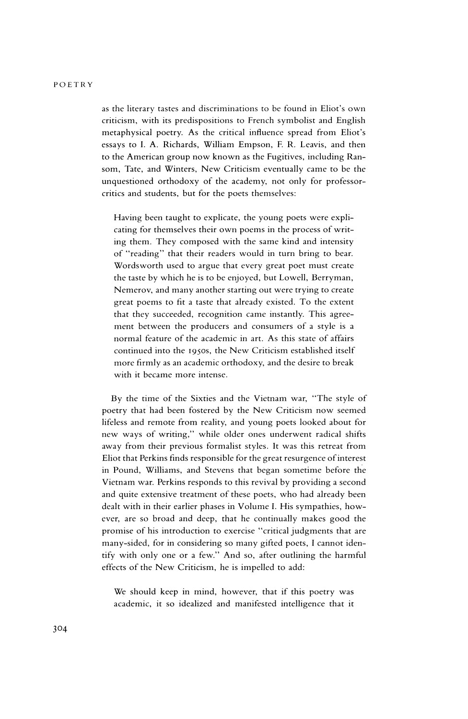### POETRY

as the literary tastes and discriminations to be found in Eliot's own criticism, with its predispositions to French symbolist and English metaphysical poetry. As the critical influence spread from Eliot's essays to I. A. Richards, William Empson, F. R. Leavis, and then to the American group now known as the Fugitives, including Ran som, Tate, and Winters, New Criticism eventually came to be the unquestioned orthodoxy of the academy, not only for professor critics and students, but for the poets themselves:

Having been taught to explicate, the young poets were expli cating for themselves their own poems in the process of writ ing them. They composed with the same kind and intensity of "reading" that their readers would in turn bring to bear. Wordsworth used to argue that every great poet must create the taste by which he is to be enjoyed, but Lowell, Berryman, Nemerov, and many another starting out were trying to create great poems to fit a taste that already existed. To the extent that they succeeded, recognition came instantly. This agree ment between the producers and consumers of a style is a normal feature of the academic in art. As this state of affairs continued into the 1950s, the New Criticism established itself more firmly as an academic orthodoxy, and the desire to break with it became more intense.

By the time of the Sixties and the Vietnam war, "The style of poetry that had been fostered by the New Criticism now seemed lifeless and remote from reality, and young poets looked about for new ways of writing," while older ones underwent radical shifts away from their previous formalist styles. It was this retreat from Eliot that Perkins finds responsible for the great resurgence of interest in Pound, Williams, and Stevens that began sometime before the Vietnam war. Perkins responds to this revival by providing a second and quite extensive treatment of these poets, who had already been dealt with in their earlier phases in Volume I. His sympathies, how ever, are so broad and deep, that he continually makes good the promise of his introduction to exercise "critical judgments that are many-sided, for in considering so many gifted poets, I cannot iden tify with only one or a few." And so, after outlining the harmful effects of the New Criticism, he is impelled to add:

We should keep in mind, however, that if this poetry was academic, it so idealized and manifested intelligence that it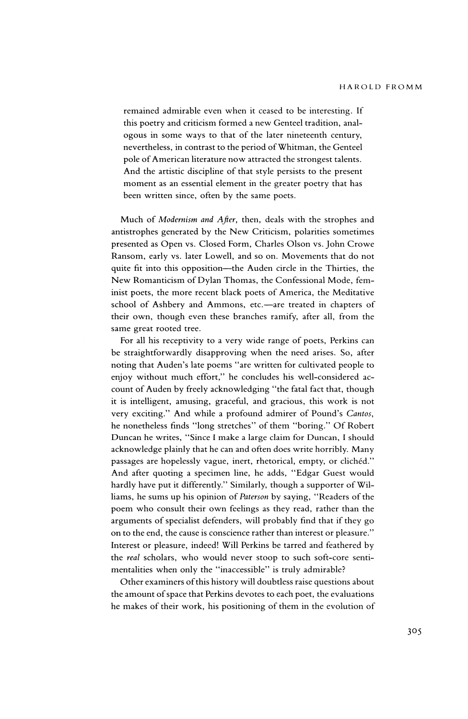remained admirable even when it ceased to be interesting. If this poetry and criticism formed a new Genteel tradition, anal ogous in some ways to that of the later nineteenth century, nevertheless, in contrast to the period of Whitman, the Genteel pole of American literature now attracted the strongest talents. And the artistic discipline of that style persists to the present moment as an essential element in the greater poetry that has been written since, often by the same poets.

Much of Modernism and Afier, then, deals with the strophes and antistrophes generated by the New Criticism, polarities sometimes presented as Open vs. Closed Form, Charles Olson vs. John Crowe Ransom, early vs. later Lowell, and so on. Movements that do not quite fit into this opposition-the Auden circle in the Thirties, the New Romanticism of Dylan Thomas, the Confessional Mode, fem inist poets, the more recent black poets of America, the Meditative school of Ashbery and Ammons, etc.-are treated in chapters of their own, though even these branches ramify, after all, from the same great rooted tree.

For all his receptivity to a very wide range of poets, Perkins can be straightforwardly disapproving when the need arises. So, after noting that Auden's late poems "are written for cultivated people to enjoy without much effort," he concludes his well-considered ac count of Auden by freely acknowledging "the fatal fact that, though it is intelligent, amusing, graceful, and gracious, this work is not very exciting." And while a profound admirer of Pound's Cantos, he nonetheless finds "long stretches" of them "boring." Of Robert Duncan he writes, "Since I make a large claim for Duncan, I should acknowledge plainly that he can and often does write horribly. Many passages are hopelessly vague, inert, rhetorical, empty, or clichéd." And after quoting a specimen line, he adds, "Edgar Guest would hardly have put it differently." Similarly, though a supporter of Wil liams, he sums up his opinion of Paterson by saying, "Readers of the poem who consult their own feelings as they read, rather than the arguments of specialist defenders, will probably find that if they go on to the end, the cause is conscience rather than interest or pleasure." Interest or pleasure, indeed! Will Perkins be tarred and feathered by the real scholars, who would never stoop to such soft-core senti mentalities when only the "inaccessible" is truly admirable?

Other examiners of this history will doubtless raise questions about the amount of space that Perkins devotes to each poet, the evaluations he makes of their work, his positioning of them in the evolution of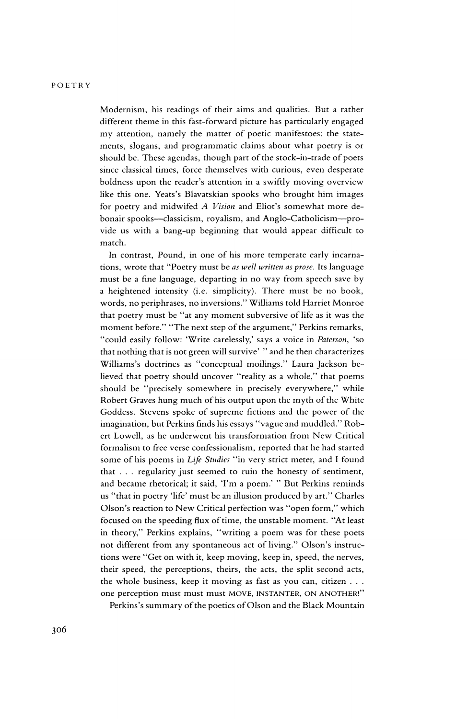Modernism, his readings of their aims and qualities. But a rather different theme in this fast-forward picture has particularly engaged my attention, namely the matter of poetic manifestoes: the state ments, slogans, and programmatic claims about what poetry is or should be. These agendas, though part of the stock-in-trade of poets since classical times, force themselves with curious, even desperate boldness upon the reader's attention in a swiftly moving overview like this one. Yeats's Blavatskian spooks who brought him images for poetry and midwifed A Vision and Eliot's somewhat more de bonair spooks-classicism, royalism, and Anglo-Catholicism-pro vide us with a bang-up beginning that would appear difficult to match.

In contrast, Pound, in one of his more temperate early incarna tions, wrote that "Poetry must be as well written as prose. Its language must be a fine language, departing in no way from speech save by a heightened intensity (i.e. simplicity). There must be no book, words, no periphrases, no inversions." Williams told Harriet Monroe that poetry must be "at any moment subversive of life as it was the moment before." "The next step of the argument," Perkins remarks, "could easily follow: 'Write carelessly,' says a voice in Paterson, 'so that nothing that is not green will survive' " and he then characterizes Williams's doctrines as "conceptual moilings." Laura Jackson be lieved that poetry should uncover "reality as a whole," that poems should be "precisely somewhere in precisely everywhere," while Robert Graves hung much of his output upon the myth of the White Goddess. Stevens spoke of supreme fictions and the power of the imagination, but Perkins finds his essays "vague and muddled." Rob ert Lowell, as he underwent his transformation from New Critical formalism to free verse confessionalism, reported that he had started some of his poems in Life Studies "in very strict meter, and I found that . . . regularity just seemed to ruin the honesty of sentiment, and became rhetorical; it said, 'I'm a poem.' " But Perkins reminds us "that in poetry 'life' must be an illusion produced by art." Charles Olson's reaction to New Critical perfection was "open form," which focused on the speeding flux of time, the unstable moment. "At least in theory," Perkins explains, "writing a poem was for these poets not different from any spontaneous act of living." Olson's instruc tions were "Get on with it, keep moving, keep in, speed, the nerves, their speed, the perceptions, theirs, the acts, the split second acts, the whole business, keep it moving as fast as you can, citizen . . . one perception must must must MOVE, INSTANTER, ON ANOTHER!"

Perkins's summary of the poetics of Olson and the Black Mountain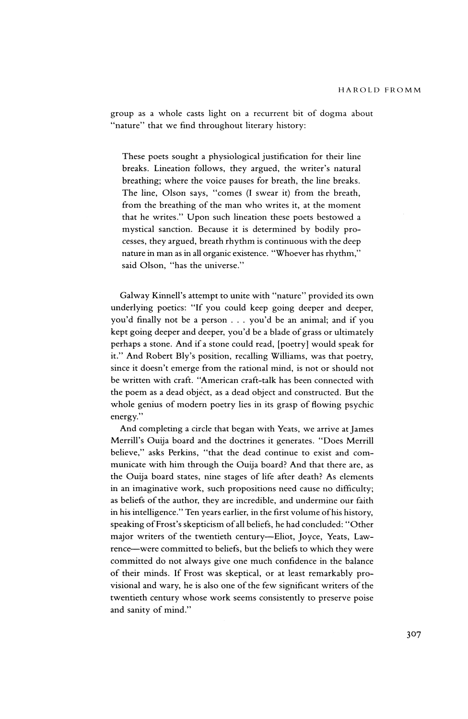group as a whole casts light on a recurrent bit of dogma about "nature" that we find throughout literary history:

These poets sought a physiological justification for their line breaks. Lineation follows, they argued, the writer's natural breathing; where the voice pauses for breath, the line breaks. The line, Olson says, "comes (I swear it) from the breath, from the breathing of the man who writes it, at the moment that he writes." Upon such lineation these poets bestowed a mystical sanction. Because it is determined by bodily pro cesses, they argued, breath rhythm is continuous with the deep nature in man as in all organic existence. "Whoever has rhythm," said Olson, "has the universe."

Galway Kinnell's attempt to unite with "nature" provided its own underlying poetics: "If you could keep going deeper and deeper, you'd finally not be a person . . . you'd be an animal; and if you kept going deeper and deeper, you'd be a blade of grass or ultimately perhaps a stone. And if a stone could read, [poetry] would speak for it." And Robert Bly's position, recalling Williams, was that poetry, since it doesn't emerge from the rational mind, is not or should not be written with craft. "American craft-talk has been connected with the poem as a dead object, as a dead object and constructed. But the whole genius of modern poetry lies in its grasp of flowing psychic energy.

And completing a circle that began with Yeats, we arrive at James Merrill's Ouija board and the doctrines it generates. "Does Merrill believe," asks Perkins, "that the dead continue to exist and com municate with him through the Ouija board? And that there are, as the Ouija board states, nine stages of life after death? As elements in an imaginative work, such propositions need cause no difficulty; as beliefs of the author, they are incredible, and undermine our faith in his intelligence." Ten years earlier, in the first volume of his history, speaking of Frost's skepticism of all beliefs, he had concluded: "Other major writers of the twentieth century—Eliot, Joyce, Yeats, Lawrence-were committed to beliefs, but the beliefs to which they were committed do not always give one much confidence in the balance of their minds. If Frost was skeptical, or at least remarkably pro visional and wary, he is also one of the few significant writers of the twentieth century whose work seems consistently to preserve poise and sanity of mind."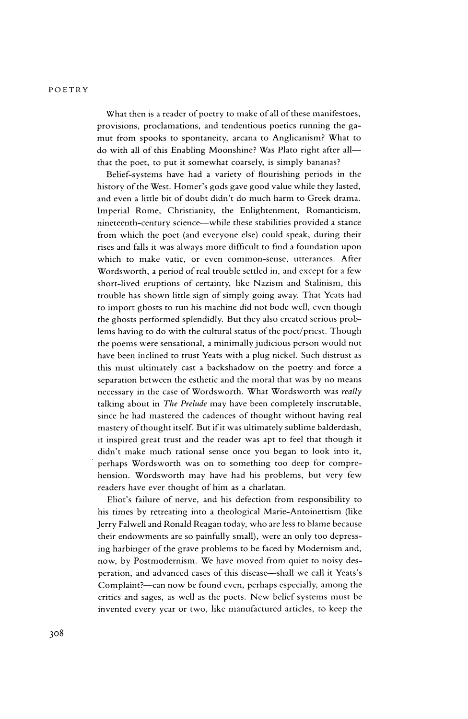#### POETRY

What then is a reader of poetry to make of all of these manifestoes, provisions, proclamations, and tendentious poetics running the ga mut from spooks to spontaneity, arcana to Anglicanism? What to do with all of this Enabling Moonshine? Was Plato right after all that the poet, to put it somewhat coarsely, is simply bananas?

Belief-systems have had a variety of flourishing periods in the history of the West. Homer's gods gave good value while they lasted, and even a little bit of doubt didn't do much harm to Greek drama. Imperial Rome, Christianity, the Enlightenment, Romanticism, nineteenth-century science-while these stabilities provided a stance from which the poet (and everyone else) could speak, during their rises and falls it was always more difficult to find a foundation upon which to make vatic, or even common-sense, utterances. After Wordsworth, a period of real trouble settled in, and except for a few short-lived eruptions of certainty, like Nazism and Stalinism, this trouble has shown little sign of simply going away. That Yeats had to import ghosts to run his machine did not bode well, even though the ghosts performed splendidly. But they also created serious prob lems having to do with the cultural status of the poet/priest. Though the poems were sensational, a minimally judicious person would not have been inclined to trust Yeats with a plug nickel. Such distrust as this must ultimately cast a backshadow on the poetry and force a separation between the esthetic and the moral that was by no means necessary in the case of Wordsworth. What Wordsworth was really talking about in The Prelude may have been completely inscrutable, since he had mastered the cadences of thought without having real mastery of thought itself. But if it was ultimately sublime balderdash, it inspired great trust and the reader was apt to feel that though it didn't make much rational sense once you began to look into it, perhaps Wordsworth was on to something too deep for compre hension. Wordsworth may have had his problems, but very few readers have ever thought of him as a charlatan.

Eliot's failure of nerve, and his defection from responsibility to his times by retreating into a theological Marie-Antoinettism (like Jerry Falwell and Ronald Reagan today, who are less to blame because their endowments are so painfully small), were an only too depress ing harbinger of the grave problems to be faced by Modernism and, now, by Postmodernism. We have moved from quiet to noisy des peration, and advanced cases of this disease—shall we call it Yeats's Complaint?—can now be found even, perhaps especially, among the critics and sages, as well as the poets. New belief systems must be invented every year or two, like manufactured articles, to keep the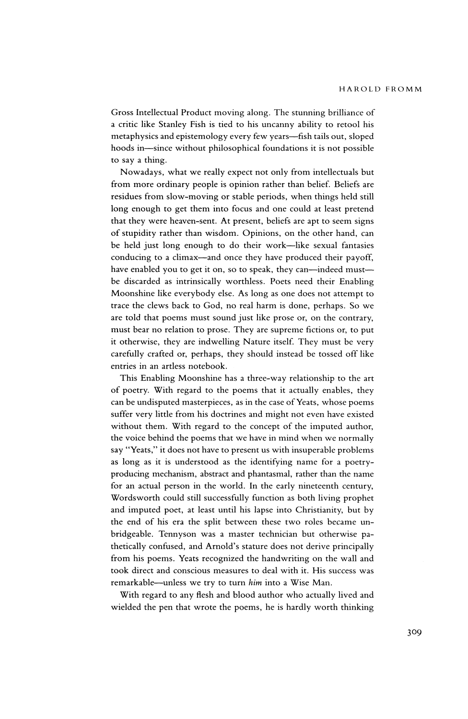Gross Intellectual Product moving along. The stunning brilliance of a critic like Stanley Fish is tied to his uncanny ability to retool his metaphysics and epistemology every few years-fish tails out, sloped hoods in-since without philosophical foundations it is not possible to say a thing.

Nowadays, what we really expect not only from intellectuals but from more ordinary people is opinion rather than belief. Beliefs are residues from slow-moving or stable periods, when things held still long enough to get them into focus and one could at least pretend that they were heaven-sent. At present, beliefs are apt to seem signs of stupidity rather than wisdom. Opinions, on the other hand, can be held just long enough to do their work-like sexual fantasies conducing to a climax-and once they have produced their payoff, have enabled you to get it on, so to speak, they can-indeed mustbe discarded as intrinsically worthless. Poets need their Enabling Moonshine like everybody else. As long as one does not attempt to trace the clews back to God, no real harm is done, perhaps. So we are told that poems must sound just like prose or, on the contrary, must bear no relation to prose. They are supreme fictions or, to put it otherwise, they are indwelling Nature itself. They must be very carefully crafted or, perhaps, they should instead be tossed off like entries in an artless notebook.

This Enabling Moonshine has a three-way relationship to the art of poetry. With regard to the poems that it actually enables, they can be undisputed masterpieces, as in the case of Yeats, whose poems suffer very little from his doctrines and might not even have existed without them. With regard to the concept of the imputed author, the voice behind the poems that we have in mind when we normally say "Yeats," it does not have to present us with insuperable problems as long as it is understood as the identifying name for a poetry producing mechanism, abstract and phantasmal, rather than the name for an actual person in the world. In the early nineteenth century, Wordsworth could still successfully function as both living prophet and imputed poet, at least until his lapse into Christianity, but by the end of his era the split between these two roles became un bridgeable. Tennyson was a master technician but otherwise pa thetically confused, and Arnold's stature does not derive principally from his poems. Yeats recognized the handwriting on the wall and took direct and conscious measures to deal with it. His success was remarkable--unless we try to turn him into a Wise Man.

With regard to any flesh and blood author who actually lived and wielded the pen that wrote the poems, he is hardly worth thinking